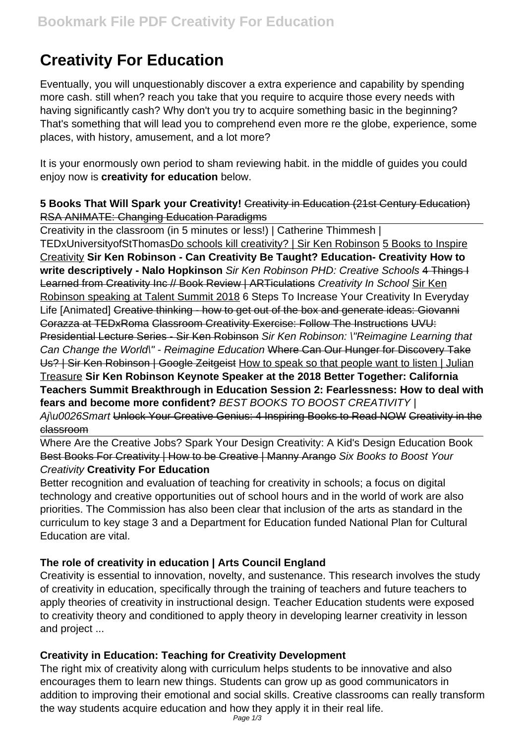# **Creativity For Education**

Eventually, you will unquestionably discover a extra experience and capability by spending more cash. still when? reach you take that you require to acquire those every needs with having significantly cash? Why don't you try to acquire something basic in the beginning? That's something that will lead you to comprehend even more re the globe, experience, some places, with history, amusement, and a lot more?

It is your enormously own period to sham reviewing habit. in the middle of guides you could enjoy now is **creativity for education** below.

### **5 Books That Will Spark your Creativity!** Creativity in Education (21st Century Education) RSA ANIMATE: Changing Education Paradigms

Creativity in the classroom (in 5 minutes or less!) | Catherine Thimmesh | TEDxUniversityofStThomasDo schools kill creativity? | Sir Ken Robinson 5 Books to Inspire Creativity **Sir Ken Robinson - Can Creativity Be Taught? Education- Creativity How to write descriptively - Nalo Hopkinson** Sir Ken Robinson PHD: Creative Schools 4 Things I Learned from Creativity Inc // Book Review | ARTiculations Creativity In School Sir Ken Robinson speaking at Talent Summit 2018 6 Steps To Increase Your Creativity In Everyday Life [Animated] Creative thinking - how to get out of the box and generate ideas: Giovanni Corazza at TEDxRoma Classroom Creativity Exercise: Follow The Instructions UVU: Presidential Lecture Series - Sir Ken Robinson Sir Ken Robinson: \"Reimagine Learning that Can Change the World\" - Reimagine Education Where Can Our Hunger for Discovery Take Us? | Sir Ken Robinson | Google Zeitgeist How to speak so that people want to listen | Julian Treasure **Sir Ken Robinson Keynote Speaker at the 2018 Better Together: California Teachers Summit Breakthrough in Education Session 2: Fearlessness: How to deal with fears and become more confident?** BEST BOOKS TO BOOST CREATIVITY | Aj\u0026Smart Unlock Your Creative Genius: 4 Inspiring Books to Read NOW Creativity in the classroom

Where Are the Creative Jobs? Spark Your Design Creativity: A Kid's Design Education Book Best Books For Creativity | How to be Creative | Manny Arango Six Books to Boost Your Creativity **Creativity For Education**

Better recognition and evaluation of teaching for creativity in schools; a focus on digital technology and creative opportunities out of school hours and in the world of work are also priorities. The Commission has also been clear that inclusion of the arts as standard in the curriculum to key stage 3 and a Department for Education funded National Plan for Cultural Education are vital.

# **The role of creativity in education | Arts Council England**

Creativity is essential to innovation, novelty, and sustenance. This research involves the study of creativity in education, specifically through the training of teachers and future teachers to apply theories of creativity in instructional design. Teacher Education students were exposed to creativity theory and conditioned to apply theory in developing learner creativity in lesson and project ...

# **Creativity in Education: Teaching for Creativity Development**

The right mix of creativity along with curriculum helps students to be innovative and also encourages them to learn new things. Students can grow up as good communicators in addition to improving their emotional and social skills. Creative classrooms can really transform the way students acquire education and how they apply it in their real life.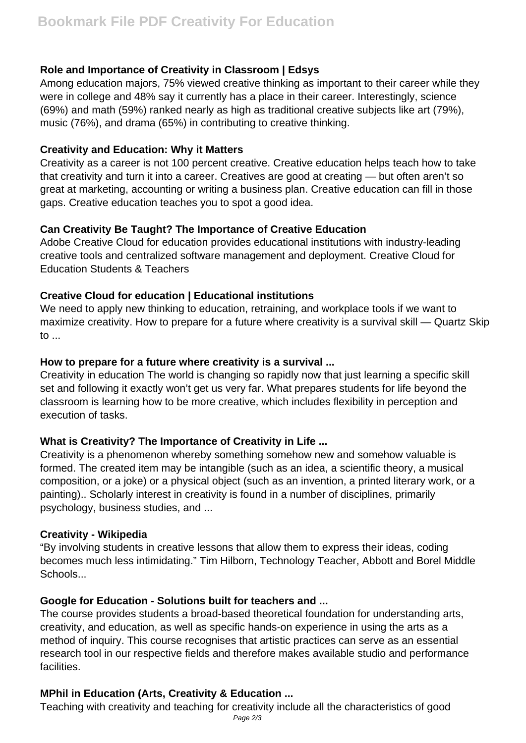## **Role and Importance of Creativity in Classroom | Edsys**

Among education majors, 75% viewed creative thinking as important to their career while they were in college and 48% say it currently has a place in their career. Interestingly, science (69%) and math (59%) ranked nearly as high as traditional creative subjects like art (79%), music (76%), and drama (65%) in contributing to creative thinking.

#### **Creativity and Education: Why it Matters**

Creativity as a career is not 100 percent creative. Creative education helps teach how to take that creativity and turn it into a career. Creatives are good at creating — but often aren't so great at marketing, accounting or writing a business plan. Creative education can fill in those gaps. Creative education teaches you to spot a good idea.

## **Can Creativity Be Taught? The Importance of Creative Education**

Adobe Creative Cloud for education provides educational institutions with industry-leading creative tools and centralized software management and deployment. Creative Cloud for Education Students & Teachers

### **Creative Cloud for education | Educational institutions**

We need to apply new thinking to education, retraining, and workplace tools if we want to maximize creativity. How to prepare for a future where creativity is a survival skill — Quartz Skip  $\mathsf{to}$ ...

## **How to prepare for a future where creativity is a survival ...**

Creativity in education The world is changing so rapidly now that just learning a specific skill set and following it exactly won't get us very far. What prepares students for life beyond the classroom is learning how to be more creative, which includes flexibility in perception and execution of tasks.

# **What is Creativity? The Importance of Creativity in Life ...**

Creativity is a phenomenon whereby something somehow new and somehow valuable is formed. The created item may be intangible (such as an idea, a scientific theory, a musical composition, or a joke) or a physical object (such as an invention, a printed literary work, or a painting).. Scholarly interest in creativity is found in a number of disciplines, primarily psychology, business studies, and ...

### **Creativity - Wikipedia**

"By involving students in creative lessons that allow them to express their ideas, coding becomes much less intimidating." Tim Hilborn, Technology Teacher, Abbott and Borel Middle Schools...

### **Google for Education - Solutions built for teachers and ...**

The course provides students a broad-based theoretical foundation for understanding arts, creativity, and education, as well as specific hands-on experience in using the arts as a method of inquiry. This course recognises that artistic practices can serve as an essential research tool in our respective fields and therefore makes available studio and performance facilities.

# **MPhil in Education (Arts, Creativity & Education ...**

Teaching with creativity and teaching for creativity include all the characteristics of good